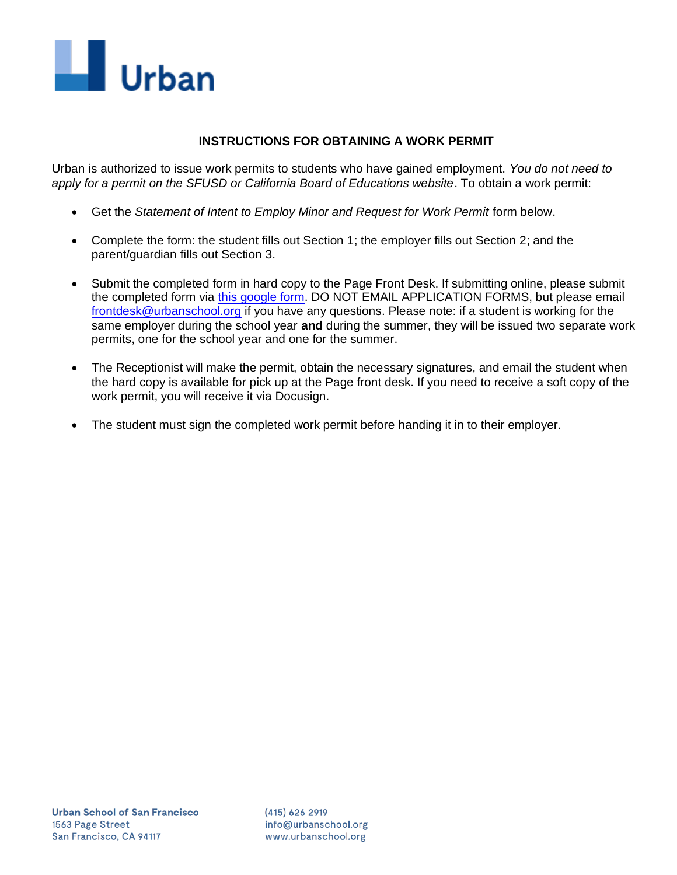

## **INSTRUCTIONS FOR OBTAINING A WORK PERMIT**

Urban is authorized to issue work permits to students who have gained employment. *You do not need to apply for a permit on the SFUSD or California Board of Educations website*. To obtain a work permit:

- Get the *Statement of Intent to Employ Minor and Request for Work Permit* form below.
- Complete the form: the student fills out Section 1; the employer fills out Section 2; and the parent/guardian fills out Section 3.
- Submit the completed form in hard copy to the Page Front Desk. If submitting online, please submit the completed form via [this google form.](https://docs.google.com/forms/d/e/1FAIpQLSfBEwk9VwTNXyEjUEaGwZsprn64Nz1jSM9dovZ75mfP6v0B3Q/viewform) DO NOT EMAIL APPLICATION FORMS, but please email [frontdesk@urbanschool.org](mailto:frontdesk@urbanschool.org) if you have any questions. Please note: if a student is working for the same employer during the school year **and** during the summer, they will be issued two separate work permits, one for the school year and one for the summer.
- The Receptionist will make the permit, obtain the necessary signatures, and email the student when the hard copy is available for pick up at the Page front desk. If you need to receive a soft copy of the work permit, you will receive it via Docusign.
- The student must sign the completed work permit before handing it in to their employer.

 $(415)$  626 2919 info@urbanschool.org www.urbanschool.org